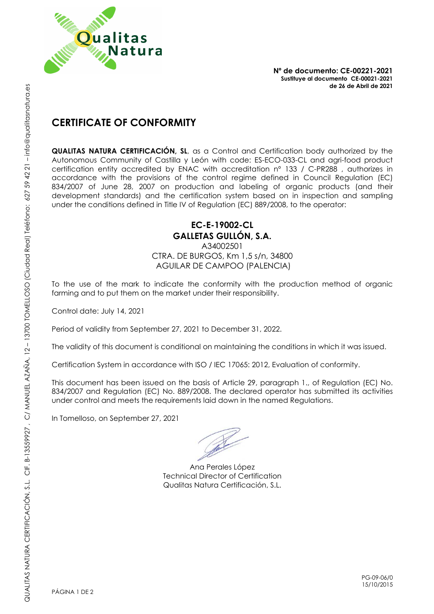

**Nº de documento: CE-00221-2021 Sustituye al documento CE-00021-2021 de 26 de Abril de 2021**

## **CERTIFICATE OF CONFORMITY**

**QUALITAS NATURA CERTIFICACIÓN, SL**, as a Control and Certification body authorized by the Autonomous Community of Castilla y León with code: ES-ECO-033-CL and agri-food product certification entity accredited by ENAC with accreditation nº 133 / C-PR288 , authorizes in accordance with the provisions of the control regime defined in Council Regulation (EC) 834/2007 of June 28, 2007 on production and labeling of organic products (and their development standards) and the certification system based on in inspection and sampling under the conditions defined in Title IV of Regulation (EC) 889/2008, to the operator:

## **EC-E-19002-CL GALLETAS GULLÓN, S.A.**

A34002501 CTRA. DE BURGOS, Km 1,5 s/n, 34800 AGUILAR DE CAMPOO (PALENCIA)

To the use of the mark to indicate the conformity with the production method of organic farming and to put them on the market under their responsibility.

Control date: July 14, 2021

Period of validity from September 27, 2021 to December 31, 2022.

The validity of this document is conditional on maintaining the conditions in which it was issued.

Certification System in accordance with ISO / IEC 17065: 2012, Evaluation of conformity.

This document has been issued on the basis of Article 29, paragraph 1., of Regulation (EC) No. 834/2007 and Regulation (EC) No. 889/2008. The declared operator has submitted its activities under control and meets the requirements laid down in the named Regulations.

In Tomelloso, on September 27, 2021

Ana Perales López Technical Director of Certification Qualitas Natura Certificación, S.L.